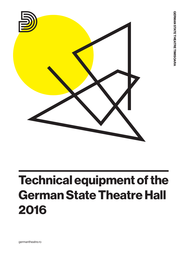

# Technical equipment of the German State Theatre Hall 2016

germantheatre.ro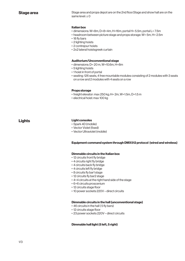Stage area and props depot are on the 2nd floor.Stage and show hall are on the same level:  $+0$ 

#### Italian box

- dimensions: W=8m, D=8+4m, H=16m, portal H= 5.5m, portal L= 7.5m
- headroom between picture stage and props storage: W= 5m, H= 2.5m
- 18 fly bars
- 2 lighting hoists
- 2 contrejour hoists
- 2x2 lateral hoistsgreek curtain

#### Auditorium/Unconventional stage

- dimensions: D= 20 m, W=10.6m, H=8m
- 5 lighting hoists
- 1 hoist in front of portal
- seating: 126 seats, 4 free mountable modules consisting of 2 modules with 3 seats on a row and 2 modules with 4 seats on a row

#### Props storage

- freight elevator: max 250 kg; H= 2m, W=1.5m, D=1.5 m
- electrical hoist: max 100 kg

**Lights** 

## Light consoles

- Spark 4D (mobile)
- Vector Violet (fixed)
- Vector Ultraviolet (mobile)

### Equipment command system through DMX512 protocol (wired and wireless)

#### Dimmable circuits in the Italian box

- 12 circuits front fly bridge
- 4 circuits right fly bridge
- 4 circuits back fly bridge
- 4 circuits left fly bridge
- 8 circuits fly bar1 stage
- 12 circuits fly bar2 stage
- 4+4 circuits at the right hand side of the stage
- 6+6 circuits proscenium
- 12 circuits stage floor
- 10 power sockets 220V direct circuits

#### Dimmable circuits in the hall (unconventional stage)

- 46 circuits in the hall ( 5 fly bars)
- 12 circuits stage floor
- 23 power sockets 220V direct circuits

### Dimmable hall light (5 left, 5 right)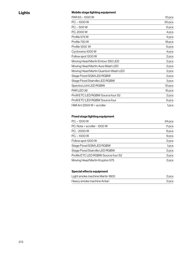## Mobile stage lighting equipment

| PAR 63-1000 W                       | 10 pcs           |
|-------------------------------------|------------------|
| $PC. - 1000W$                       | 30 pcs           |
| $PC. - 500W$                        | 6 pcs            |
| P.C. 2000 W                         | 4 pcs            |
| Profile 575W                        | 4 pcs            |
| Profile 750 W                       | 18 pcs           |
| Profile 1200 W                      | 6 pcs            |
| Cyclorama 1000W                     | 4 pcs            |
| Follow spot 1200 W                  | 2 pcs            |
| Moving Head Martin Entour 350 LED   | 2 pcs            |
| Moving Head Martin Aura Wash LED    | 2 pcs            |
| Moving Head Martin Quantum Wash LED | 2 pcs            |
| Stage Flood SGM LED RGBW            | 2 pcs            |
| Stage Flood Stairville LED RGBW     | 3 pcs            |
| Spectra Licht LED RGBW              | 10 pcs           |
| PARLED <sub>36</sub>                | 15 pcs           |
| Profil ETC LED RGBW Source four S2  | 2 pcs            |
| Profil ETC LED RGBW Source four     | 6 pcs            |
| HMI Arri 2500 W + scroller          | 1 <sub>pcs</sub> |

## Fixed stage lighting equipment

| $PC. - 1200 W$                      | 24 pcs           |
|-------------------------------------|------------------|
| P.C. Nota + scroller - 1200 W       | 11 pcs           |
| $PC. - 2000W$                       | 8 pcs            |
| $PC. - 1000W$                       | 9 pcs            |
| Follow spot 1200 W                  | 2 pcs            |
| Stage Flood SGM LED RGBW            | 1 <sub>pcs</sub> |
| Stage Flood Stairville LED RGBW     | 2 pcs            |
| Profile ETC LED RGBW Source four S2 | 3 pcs            |
| Moving Head Martin Krypton 575      | 2 pcs            |

## Special effects equipment

| Light smoke machine Martin 1800 | 2 pcs |  |
|---------------------------------|-------|--|
| Heavy smoke machine Antari      | 2 pcs |  |